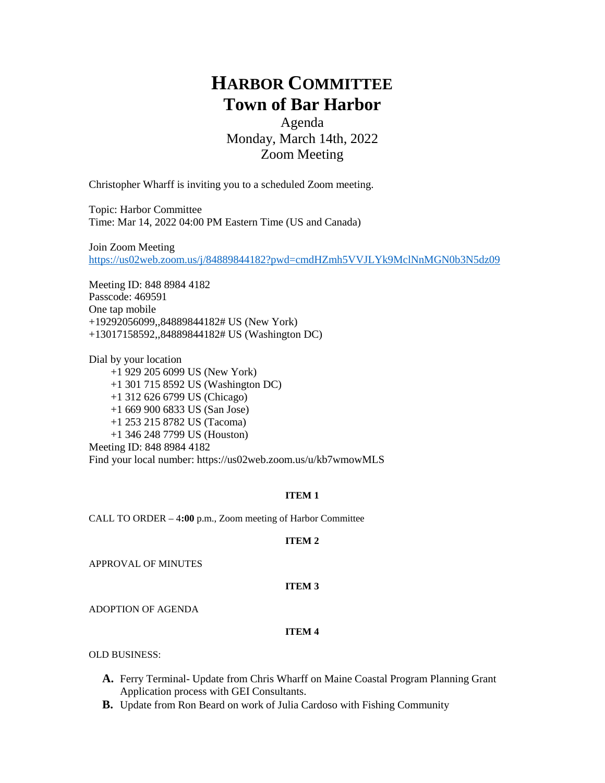# **HARBOR COMMITTEE Town of Bar Harbor**

Agenda Monday, March 14th, 2022 Zoom Meeting

Christopher Wharff is inviting you to a scheduled Zoom meeting.

Topic: Harbor Committee Time: Mar 14, 2022 04:00 PM Eastern Time (US and Canada)

Join Zoom Meeting <https://us02web.zoom.us/j/84889844182?pwd=cmdHZmh5VVJLYk9MclNnMGN0b3N5dz09>

Meeting ID: 848 8984 4182 Passcode: 469591 One tap mobile +19292056099,,84889844182# US (New York) +13017158592,,84889844182# US (Washington DC)

Dial by your location +1 929 205 6099 US (New York) +1 301 715 8592 US (Washington DC) +1 312 626 6799 US (Chicago) +1 669 900 6833 US (San Jose) +1 253 215 8782 US (Tacoma) +1 346 248 7799 US (Houston) Meeting ID: 848 8984 4182 Find your local number: https://us02web.zoom.us/u/kb7wmowMLS

#### **ITEM 1**

CALL TO ORDER – 4**:00** p.m., Zoom meeting of Harbor Committee

#### **ITEM 2**

APPROVAL OF MINUTES

#### **ITEM 3**

ADOPTION OF AGENDA

#### **ITEM 4**

OLD BUSINESS:

- **A.** Ferry Terminal- Update from Chris Wharff on Maine Coastal Program Planning Grant Application process with GEI Consultants.
- **B.** Update from Ron Beard on work of Julia Cardoso with Fishing Community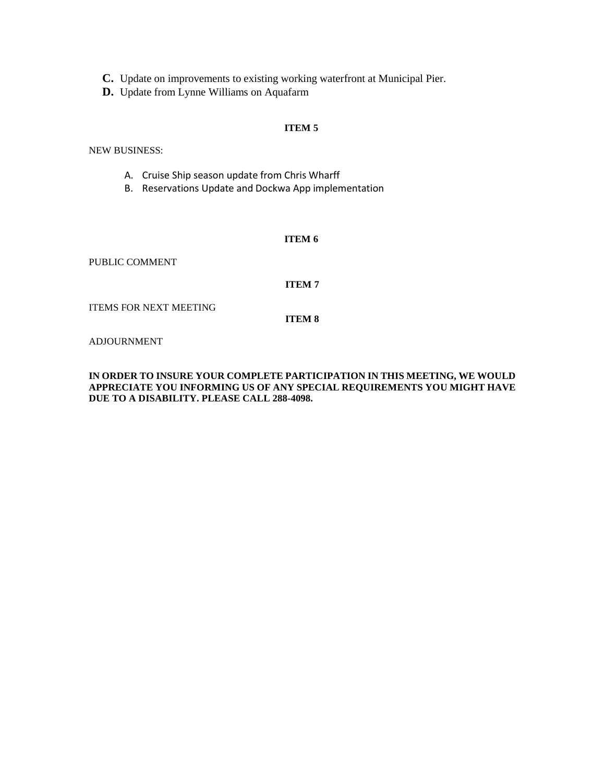**C.** Update on improvements to existing working waterfront at Municipal Pier.

**D.** Update from Lynne Williams on Aquafarm

#### **ITEM 5**

NEW BUSINESS:

- A. Cruise Ship season update from Chris Wharff
- B. Reservations Update and Dockwa App implementation

#### **ITEM 6**

PUBLIC COMMENT

#### **ITEM 7**

ITEMS FOR NEXT MEETING

**ITEM 8**

ADJOURNMENT

#### **IN ORDER TO INSURE YOUR COMPLETE PARTICIPATION IN THIS MEETING, WE WOULD APPRECIATE YOU INFORMING US OF ANY SPECIAL REQUIREMENTS YOU MIGHT HAVE DUE TO A DISABILITY. PLEASE CALL 288-4098.**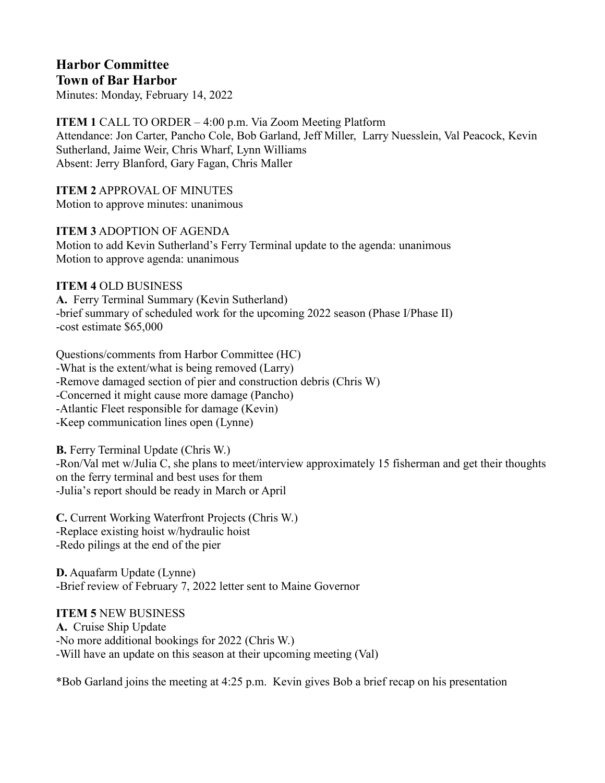# **Harbor Committee**

**Town of Bar Harbor** Minutes: Monday, February 14, 2022

**ITEM 1** CALL TO ORDER – 4:00 p.m. Via Zoom Meeting Platform Attendance: Jon Carter, Pancho Cole, Bob Garland, Jeff Miller, Larry Nuesslein, Val Peacock, Kevin Sutherland, Jaime Weir, Chris Wharf, Lynn Williams Absent: Jerry Blanford, Gary Fagan, Chris Maller

**ITEM 2** APPROVAL OF MINUTES Motion to approve minutes: unanimous

**ITEM 3** ADOPTION OF AGENDA Motion to add Kevin Sutherland's Ferry Terminal update to the agenda: unanimous Motion to approve agenda: unanimous

# **ITEM 4** OLD BUSINESS

**A.** Ferry Terminal Summary (Kevin Sutherland) -brief summary of scheduled work for the upcoming 2022 season (Phase I/Phase II) -cost estimate \$65,000

Questions/comments from Harbor Committee (HC) -What is the extent/what is being removed (Larry) -Remove damaged section of pier and construction debris (Chris W) -Concerned it might cause more damage (Pancho) -Atlantic Fleet responsible for damage (Kevin) -Keep communication lines open (Lynne)

**B.** Ferry Terminal Update (Chris W.)

-Ron/Val met w/Julia C, she plans to meet/interview approximately 15 fisherman and get their thoughts on the ferry terminal and best uses for them -Julia's report should be ready in March or April

**C.** Current Working Waterfront Projects (Chris W.) -Replace existing hoist w/hydraulic hoist -Redo pilings at the end of the pier

**D.** Aquafarm Update (Lynne) -Brief review of February 7, 2022 letter sent to Maine Governor

# **ITEM 5** NEW BUSINESS

**A.** Cruise Ship Update -No more additional bookings for 2022 (Chris W.) -Will have an update on this season at their upcoming meeting (Val)

\*Bob Garland joins the meeting at 4:25 p.m. Kevin gives Bob a brief recap on his presentation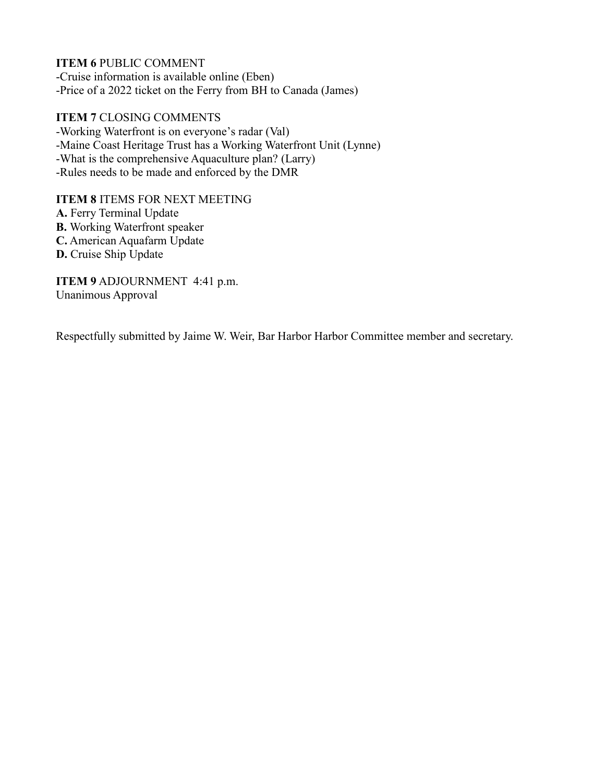**ITEM 6** PUBLIC COMMENT -Cruise information is available online (Eben) -Price of a 2022 ticket on the Ferry from BH to Canada (James)

**ITEM 7** CLOSING COMMENTS -Working Waterfront is on everyone's radar (Val) -Maine Coast Heritage Trust has a Working Waterfront Unit (Lynne) -What is the comprehensive Aquaculture plan? (Larry) -Rules needs to be made and enforced by the DMR

**ITEM 8** ITEMS FOR NEXT MEETING

**A.** Ferry Terminal Update **B.** Working Waterfront speaker **C.** American Aquafarm Update **D.** Cruise Ship Update

**ITEM 9** ADJOURNMENT 4:41 p.m. Unanimous Approval

Respectfully submitted by Jaime W. Weir, Bar Harbor Harbor Committee member and secretary.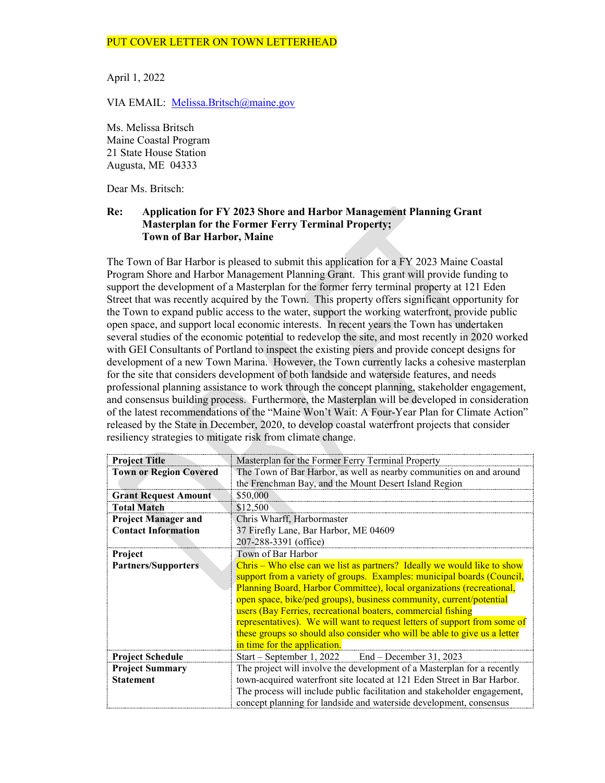#### PUT COVER LETTER ON TOWN LETTERHEAD

April 1, 2022

VIA EMAIL: [Melissa.Britsch@maine.gov](mailto:Melissa.Britsch@maine.gov)

Ms. Melissa Britsch Maine Coastal Program 21 State House Station Augusta, ME 04333

Dear Ms. Britsch:

#### **Re: Application for FY 2023 Shore and Harbor Management Planning Grant Masterplan for the Former Ferry Terminal Property; Town of Bar Harbor, Maine**

The Town of Bar Harbor is pleased to submit this application for a FY 2023 Maine Coastal Program Shore and Harbor Management Planning Grant. This grant will provide funding to support the development of a Masterplan for the former ferry terminal property at 121 Eden Street that was recently acquired by the Town. This property offers significant opportunity for the Town to expand public access to the water, support the working waterfront, provide public open space, and support local economic interests. In recent years the Town has undertaken several studies of the economic potential to redevelop the site, and most recently in 2020 worked with GEI Consultants of Portland to inspect the existing piers and provide concept designs for development of a new Town Marina. However, the Town currently lacks a cohesive masterplan for the site that considers development of both landside and waterside features, and needs professional planning assistance to work through the concept planning, stakeholder engagement, and consensus building process. Furthermore, the Masterplan will be developed in consideration of the latest recommendations of the "Maine Won't Wait: A Four-Year Plan for Climate Action" released by the State in December, 2020, to develop coastal waterfront projects that consider resiliency strategies to mitigate risk from climate change.

| <b>Project Title</b>          | Masterplan for the Former Ferry Terminal Property                         |  |  |  |  |
|-------------------------------|---------------------------------------------------------------------------|--|--|--|--|
| <b>Town or Region Covered</b> | The Town of Bar Harbor, as well as nearby communities on and around       |  |  |  |  |
|                               | the Frenchman Bay, and the Mount Desert Island Region                     |  |  |  |  |
| <b>Grant Request Amount</b>   | \$50,000                                                                  |  |  |  |  |
| <b>Total Match</b>            | \$12,500                                                                  |  |  |  |  |
| <b>Project Manager and</b>    | Chris Wharff, Harbormaster                                                |  |  |  |  |
| <b>Contact Information</b>    | 37 Firefly Lane, Bar Harbor, ME 04609                                     |  |  |  |  |
|                               | 207-288-3391 (office)                                                     |  |  |  |  |
| Project                       | Town of Bar Harbor                                                        |  |  |  |  |
| <b>Partners/Supporters</b>    | Chris – Who else can we list as partners? Ideally we would like to show   |  |  |  |  |
|                               | support from a variety of groups. Examples: municipal boards (Council,    |  |  |  |  |
|                               | Planning Board, Harbor Committee), local organizations (recreational,     |  |  |  |  |
|                               | open space, bike/ped groups), business community, current/potential       |  |  |  |  |
|                               | users (Bay Ferries, recreational boaters, commercial fishing              |  |  |  |  |
|                               | representatives). We will want to request letters of support from some of |  |  |  |  |
|                               | these groups so should also consider who will be able to give us a letter |  |  |  |  |
|                               | in time for the application.                                              |  |  |  |  |
| <b>Project Schedule</b>       | Start – September 1, 2022 End – December 31, 2023                         |  |  |  |  |
| <b>Project Summary</b>        | The project will involve the development of a Masterplan for a recently   |  |  |  |  |
| <b>Statement</b>              | town-acquired waterfront site located at 121 Eden Street in Bar Harbor.   |  |  |  |  |
|                               | The process will include public facilitation and stakeholder engagement,  |  |  |  |  |
|                               | concept planning for landside and waterside development, consensus        |  |  |  |  |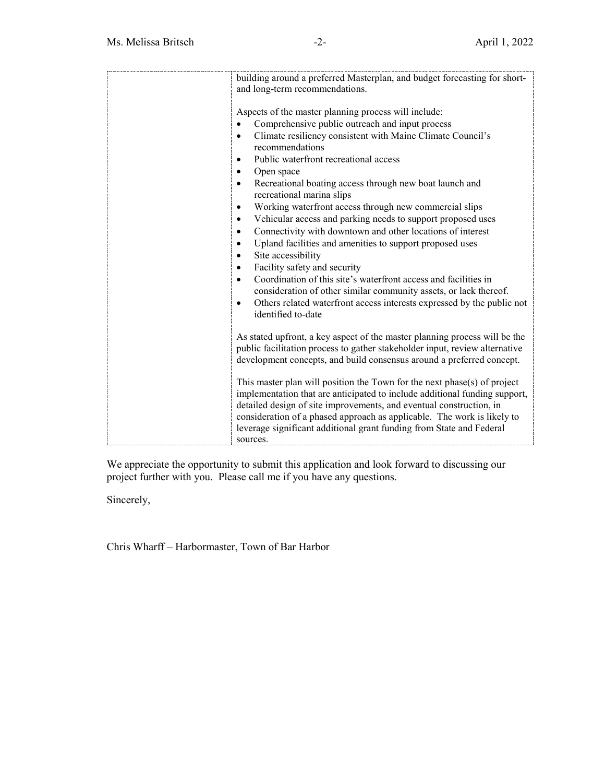| building around a preferred Masterplan, and budget forecasting for short-                                                                       |
|-------------------------------------------------------------------------------------------------------------------------------------------------|
| and long-term recommendations.                                                                                                                  |
|                                                                                                                                                 |
| Aspects of the master planning process will include:                                                                                            |
| Comprehensive public outreach and input process                                                                                                 |
| Climate resiliency consistent with Maine Climate Council's<br>$\bullet$                                                                         |
| recommendations                                                                                                                                 |
| Public waterfront recreational access<br>$\bullet$                                                                                              |
| Open space<br>$\bullet$                                                                                                                         |
| Recreational boating access through new boat launch and<br>$\bullet$                                                                            |
| recreational marina slips                                                                                                                       |
| Working waterfront access through new commercial slips<br>$\bullet$                                                                             |
| Vehicular access and parking needs to support proposed uses<br>$\bullet$                                                                        |
| Connectivity with downtown and other locations of interest<br>$\bullet$                                                                         |
| Upland facilities and amenities to support proposed uses<br>$\bullet$                                                                           |
| Site accessibility<br>$\bullet$                                                                                                                 |
| Facility safety and security<br>$\bullet$                                                                                                       |
| Coordination of this site's waterfront access and facilities in<br>$\bullet$                                                                    |
| consideration of other similar community assets, or lack thereof.                                                                               |
| Others related waterfront access interests expressed by the public not<br>$\bullet$                                                             |
| identified to-date                                                                                                                              |
|                                                                                                                                                 |
| As stated upfront, a key aspect of the master planning process will be the                                                                      |
| public facilitation process to gather stakeholder input, review alternative                                                                     |
| development concepts, and build consensus around a preferred concept.                                                                           |
|                                                                                                                                                 |
| This master plan will position the Town for the next phase(s) of project                                                                        |
| implementation that are anticipated to include additional funding support,                                                                      |
| detailed design of site improvements, and eventual construction, in                                                                             |
| consideration of a phased approach as applicable. The work is likely to<br>leverage significant additional grant funding from State and Federal |
| sources.                                                                                                                                        |
|                                                                                                                                                 |

We appreciate the opportunity to submit this application and look forward to discussing our project further with you. Please call me if you have any questions.

Sincerely,

Chris Wharff – Harbormaster, Town of Bar Harbor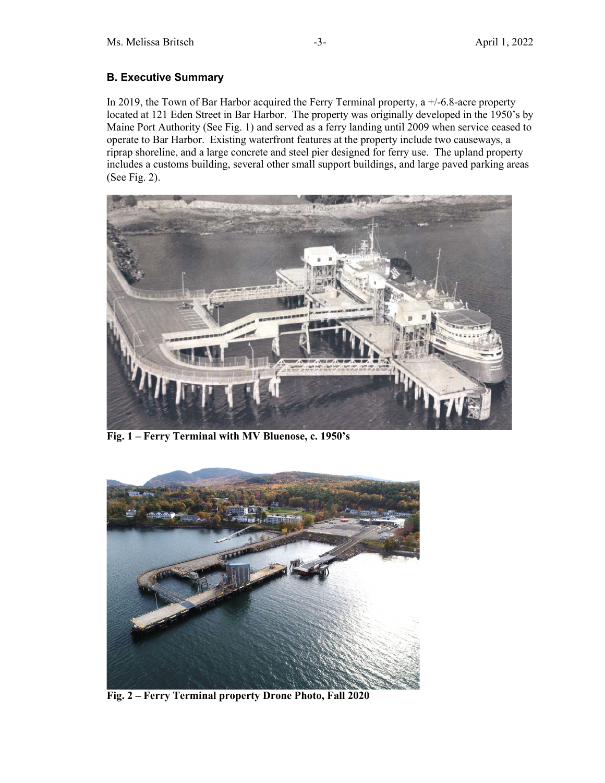# **B. Executive Summary**

In 2019, the Town of Bar Harbor acquired the Ferry Terminal property, a  $+/$ -6.8-acre property located at 121 Eden Street in Bar Harbor. The property was originally developed in the 1950's by Maine Port Authority (See Fig. 1) and served as a ferry landing until 2009 when service ceased to operate to Bar Harbor. Existing waterfront features at the property include two causeways, a riprap shoreline, and a large concrete and steel pier designed for ferry use. The upland property includes a customs building, several other small support buildings, and large paved parking areas (See Fig. 2).



**Fig. 1 – Ferry Terminal with MV Bluenose, c. 1950's**



**Fig. 2 – Ferry Terminal property Drone Photo, Fall 2020**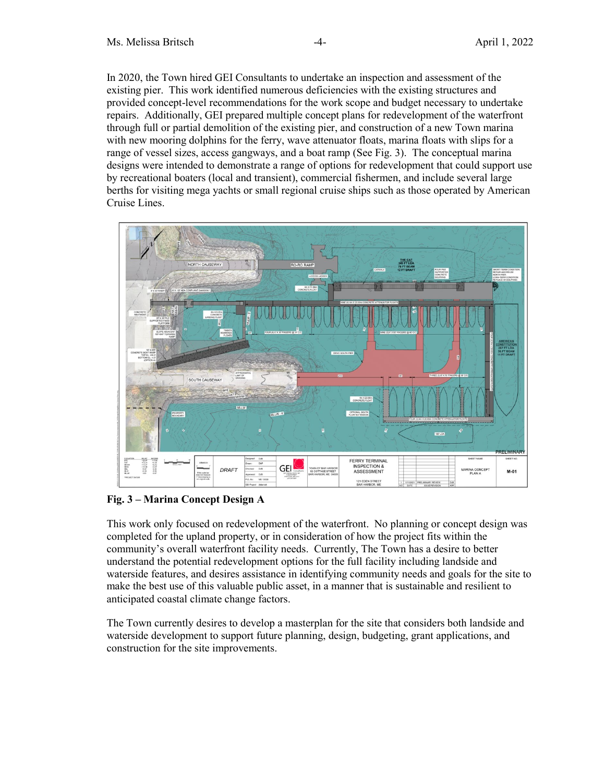In 2020, the Town hired GEI Consultants to undertake an inspection and assessment of the existing pier. This work identified numerous deficiencies with the existing structures and provided concept-level recommendations for the work scope and budget necessary to undertake repairs. Additionally, GEI prepared multiple concept plans for redevelopment of the waterfront through full or partial demolition of the existing pier, and construction of a new Town marina with new mooring dolphins for the ferry, wave attenuator floats, marina floats with slips for a range of vessel sizes, access gangways, and a boat ramp (See Fig. 3). The conceptual marina designs were intended to demonstrate a range of options for redevelopment that could support use by recreational boaters (local and transient), commercial fishermen, and include several large berths for visiting mega yachts or small regional cruise ships such as those operated by American Cruise Lines.



## **Fig. 3 – Marina Concept Design A**

This work only focused on redevelopment of the waterfront. No planning or concept design was completed for the upland property, or in consideration of how the project fits within the community's overall waterfront facility needs. Currently, The Town has a desire to better understand the potential redevelopment options for the full facility including landside and waterside features, and desires assistance in identifying community needs and goals for the site to make the best use of this valuable public asset, in a manner that is sustainable and resilient to anticipated coastal climate change factors.

The Town currently desires to develop a masterplan for the site that considers both landside and waterside development to support future planning, design, budgeting, grant applications, and construction for the site improvements.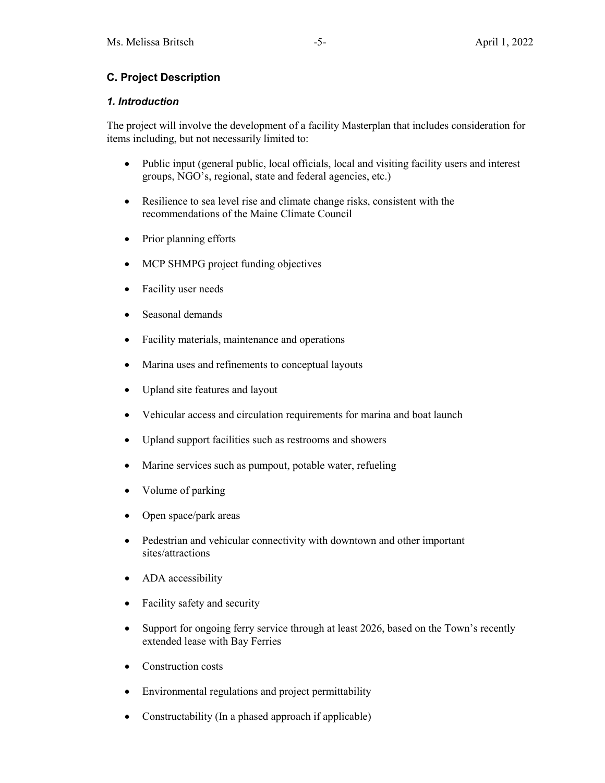# **C. Project Description**

### *1. Introduction*

The project will involve the development of a facility Masterplan that includes consideration for items including, but not necessarily limited to:

- Public input (general public, local officials, local and visiting facility users and interest groups, NGO's, regional, state and federal agencies, etc.)
- Resilience to sea level rise and climate change risks, consistent with the recommendations of the Maine Climate Council
- Prior planning efforts
- MCP SHMPG project funding objectives
- Facility user needs
- Seasonal demands
- Facility materials, maintenance and operations
- Marina uses and refinements to conceptual layouts
- Upland site features and layout
- Vehicular access and circulation requirements for marina and boat launch
- Upland support facilities such as restrooms and showers
- Marine services such as pumpout, potable water, refueling
- Volume of parking
- Open space/park areas
- Pedestrian and vehicular connectivity with downtown and other important sites/attractions
- ADA accessibility
- Facility safety and security
- Support for ongoing ferry service through at least 2026, based on the Town's recently extended lease with Bay Ferries
- Construction costs
- Environmental regulations and project permittability
- Constructability (In a phased approach if applicable)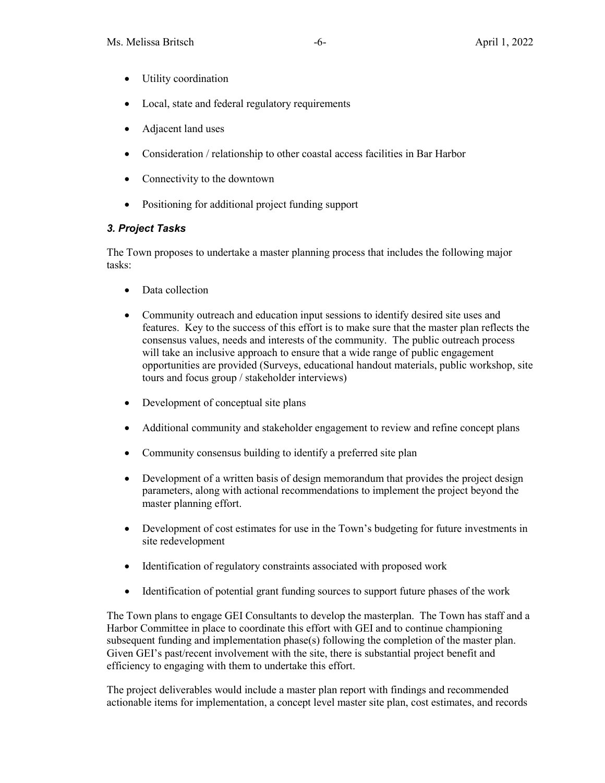- Utility coordination
- Local, state and federal regulatory requirements
- Adjacent land uses
- Consideration / relationship to other coastal access facilities in Bar Harbor
- Connectivity to the downtown
- Positioning for additional project funding support

## *3. Project Tasks*

The Town proposes to undertake a master planning process that includes the following major tasks:

- Data collection
- Community outreach and education input sessions to identify desired site uses and features. Key to the success of this effort is to make sure that the master plan reflects the consensus values, needs and interests of the community. The public outreach process will take an inclusive approach to ensure that a wide range of public engagement opportunities are provided (Surveys, educational handout materials, public workshop, site tours and focus group / stakeholder interviews)
- Development of conceptual site plans
- Additional community and stakeholder engagement to review and refine concept plans
- Community consensus building to identify a preferred site plan
- Development of a written basis of design memorandum that provides the project design parameters, along with actional recommendations to implement the project beyond the master planning effort.
- Development of cost estimates for use in the Town's budgeting for future investments in site redevelopment
- Identification of regulatory constraints associated with proposed work
- Identification of potential grant funding sources to support future phases of the work

The Town plans to engage GEI Consultants to develop the masterplan. The Town has staff and a Harbor Committee in place to coordinate this effort with GEI and to continue championing subsequent funding and implementation phase(s) following the completion of the master plan. Given GEI's past/recent involvement with the site, there is substantial project benefit and efficiency to engaging with them to undertake this effort.

The project deliverables would include a master plan report with findings and recommended actionable items for implementation, a concept level master site plan, cost estimates, and records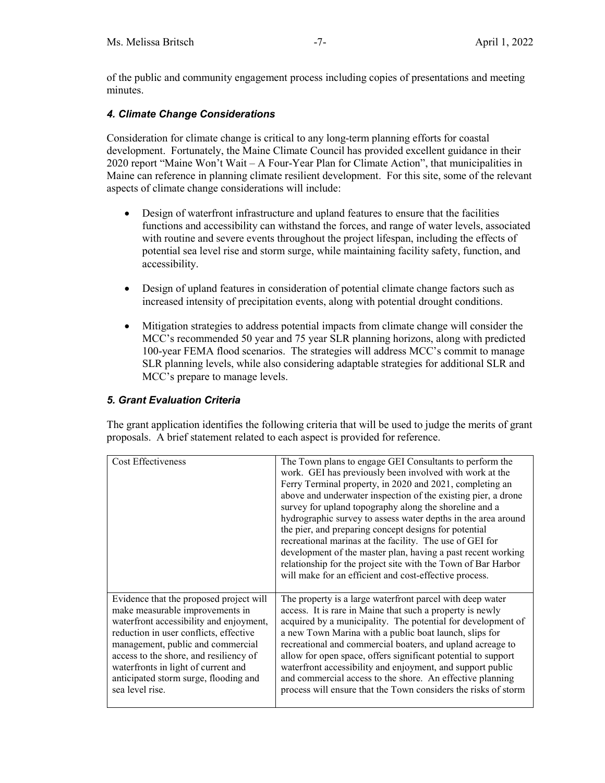of the public and community engagement process including copies of presentations and meeting minutes.

## *4. Climate Change Considerations*

Consideration for climate change is critical to any long-term planning efforts for coastal development. Fortunately, the Maine Climate Council has provided excellent guidance in their 2020 report "Maine Won't Wait – A Four-Year Plan for Climate Action", that municipalities in Maine can reference in planning climate resilient development. For this site, some of the relevant aspects of climate change considerations will include:

- Design of waterfront infrastructure and upland features to ensure that the facilities functions and accessibility can withstand the forces, and range of water levels, associated with routine and severe events throughout the project lifespan, including the effects of potential sea level rise and storm surge, while maintaining facility safety, function, and accessibility.
- Design of upland features in consideration of potential climate change factors such as increased intensity of precipitation events, along with potential drought conditions.
- Mitigation strategies to address potential impacts from climate change will consider the MCC's recommended 50 year and 75 year SLR planning horizons, along with predicted 100-year FEMA flood scenarios. The strategies will address MCC's commit to manage SLR planning levels, while also considering adaptable strategies for additional SLR and MCC's prepare to manage levels.

## *5. Grant Evaluation Criteria*

The grant application identifies the following criteria that will be used to judge the merits of grant proposals. A brief statement related to each aspect is provided for reference.

| Cost Effectiveness                      | The Town plans to engage GEI Consultants to perform the<br>work. GEI has previously been involved with work at the<br>Ferry Terminal property, in 2020 and 2021, completing an<br>above and underwater inspection of the existing pier, a drone<br>survey for upland topography along the shoreline and a<br>hydrographic survey to assess water depths in the area around<br>the pier, and preparing concept designs for potential<br>recreational marinas at the facility. The use of GEI for<br>development of the master plan, having a past recent working<br>relationship for the project site with the Town of Bar Harbor<br>will make for an efficient and cost-effective process. |
|-----------------------------------------|--------------------------------------------------------------------------------------------------------------------------------------------------------------------------------------------------------------------------------------------------------------------------------------------------------------------------------------------------------------------------------------------------------------------------------------------------------------------------------------------------------------------------------------------------------------------------------------------------------------------------------------------------------------------------------------------|
| Evidence that the proposed project will | The property is a large waterfront parcel with deep water                                                                                                                                                                                                                                                                                                                                                                                                                                                                                                                                                                                                                                  |
| make measurable improvements in         | access. It is rare in Maine that such a property is newly                                                                                                                                                                                                                                                                                                                                                                                                                                                                                                                                                                                                                                  |
| waterfront accessibility and enjoyment, | acquired by a municipality. The potential for development of                                                                                                                                                                                                                                                                                                                                                                                                                                                                                                                                                                                                                               |
| reduction in user conflicts, effective  | a new Town Marina with a public boat launch, slips for                                                                                                                                                                                                                                                                                                                                                                                                                                                                                                                                                                                                                                     |
| management, public and commercial       | recreational and commercial boaters, and upland acreage to                                                                                                                                                                                                                                                                                                                                                                                                                                                                                                                                                                                                                                 |
| access to the shore, and resiliency of  | allow for open space, offers significant potential to support                                                                                                                                                                                                                                                                                                                                                                                                                                                                                                                                                                                                                              |
| waterfronts in light of current and     | waterfront accessibility and enjoyment, and support public                                                                                                                                                                                                                                                                                                                                                                                                                                                                                                                                                                                                                                 |
| anticipated storm surge, flooding and   | and commercial access to the shore. An effective planning                                                                                                                                                                                                                                                                                                                                                                                                                                                                                                                                                                                                                                  |
| sea level rise.                         | process will ensure that the Town considers the risks of storm                                                                                                                                                                                                                                                                                                                                                                                                                                                                                                                                                                                                                             |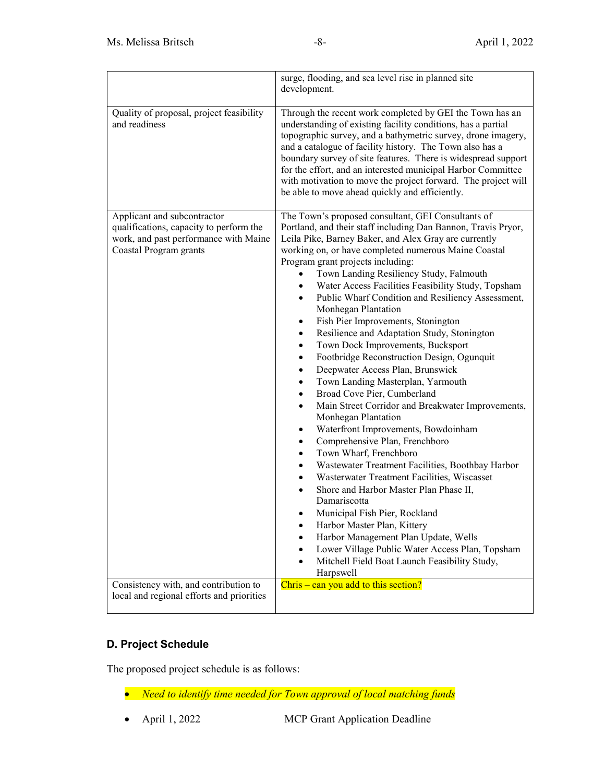|                                                                                                                                           | surge, flooding, and sea level rise in planned site<br>development.                                                                                                                                                                                                                                                                                                                                                                                                                                                                                                                                                                                                                                                                                                                                                                                                                                                                                                                                                                                                                                                                                                                                                                                                                                                                                                                        |  |  |
|-------------------------------------------------------------------------------------------------------------------------------------------|--------------------------------------------------------------------------------------------------------------------------------------------------------------------------------------------------------------------------------------------------------------------------------------------------------------------------------------------------------------------------------------------------------------------------------------------------------------------------------------------------------------------------------------------------------------------------------------------------------------------------------------------------------------------------------------------------------------------------------------------------------------------------------------------------------------------------------------------------------------------------------------------------------------------------------------------------------------------------------------------------------------------------------------------------------------------------------------------------------------------------------------------------------------------------------------------------------------------------------------------------------------------------------------------------------------------------------------------------------------------------------------------|--|--|
| Quality of proposal, project feasibility<br>and readiness                                                                                 | Through the recent work completed by GEI the Town has an<br>understanding of existing facility conditions, has a partial<br>topographic survey, and a bathymetric survey, drone imagery,<br>and a catalogue of facility history. The Town also has a<br>boundary survey of site features. There is widespread support<br>for the effort, and an interested municipal Harbor Committee<br>with motivation to move the project forward. The project will<br>be able to move ahead quickly and efficiently.                                                                                                                                                                                                                                                                                                                                                                                                                                                                                                                                                                                                                                                                                                                                                                                                                                                                                   |  |  |
| Applicant and subcontractor<br>qualifications, capacity to perform the<br>work, and past performance with Maine<br>Coastal Program grants | The Town's proposed consultant, GEI Consultants of<br>Portland, and their staff including Dan Bannon, Travis Pryor,<br>Leila Pike, Barney Baker, and Alex Gray are currently<br>working on, or have completed numerous Maine Coastal<br>Program grant projects including:<br>Town Landing Resiliency Study, Falmouth<br>Water Access Facilities Feasibility Study, Topsham<br>Public Wharf Condition and Resiliency Assessment,<br>Monhegan Plantation<br>Fish Pier Improvements, Stonington<br>٠<br>Resilience and Adaptation Study, Stonington<br>٠<br>Town Dock Improvements, Bucksport<br>٠<br>Footbridge Reconstruction Design, Ogunquit<br>٠<br>Deepwater Access Plan, Brunswick<br>٠<br>Town Landing Masterplan, Yarmouth<br>٠<br>Broad Cove Pier, Cumberland<br>$\bullet$<br>Main Street Corridor and Breakwater Improvements,<br>$\bullet$<br>Monhegan Plantation<br>Waterfront Improvements, Bowdoinham<br>٠<br>Comprehensive Plan, Frenchboro<br>$\bullet$<br>Town Wharf, Frenchboro<br>Wastewater Treatment Facilities, Boothbay Harbor<br>Wasterwater Treatment Facilities, Wiscasset<br>Shore and Harbor Master Plan Phase II,<br>Damariscotta<br>Municipal Fish Pier, Rockland<br>Harbor Master Plan, Kittery<br>٠<br>Harbor Management Plan Update, Wells<br>Lower Village Public Water Access Plan, Topsham<br>Mitchell Field Boat Launch Feasibility Study,<br>Harpswell |  |  |
| Consistency with, and contribution to<br>local and regional efforts and priorities                                                        | $Christ - can you add to this section?$                                                                                                                                                                                                                                                                                                                                                                                                                                                                                                                                                                                                                                                                                                                                                                                                                                                                                                                                                                                                                                                                                                                                                                                                                                                                                                                                                    |  |  |

# **D. Project Schedule**

The proposed project schedule is as follows:

- *Need to identify time needed for Town approval of local matching funds*
- April 1, 2022 MCP Grant Application Deadline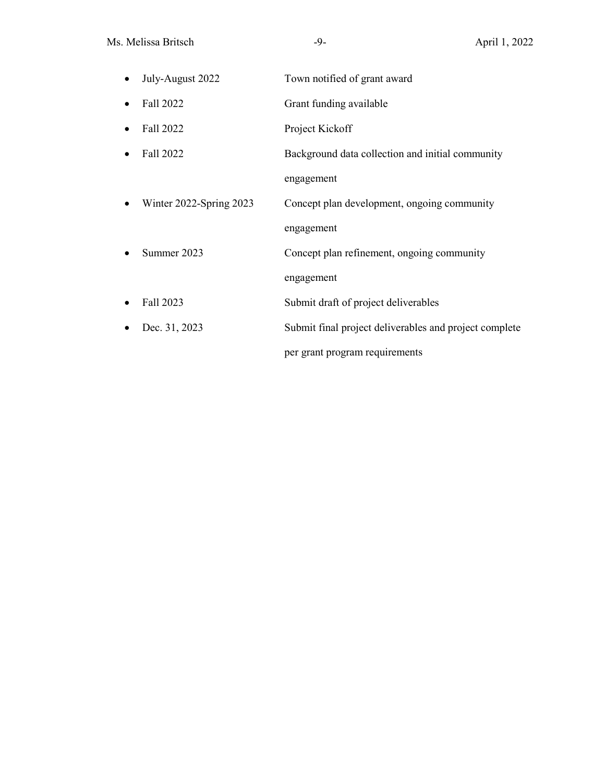| July-August 2022        | Town notified of grant award                           |
|-------------------------|--------------------------------------------------------|
| Fall 2022               | Grant funding available                                |
| Fall 2022               | Project Kickoff                                        |
| Fall 2022               | Background data collection and initial community       |
|                         | engagement                                             |
| Winter 2022-Spring 2023 | Concept plan development, ongoing community            |
|                         | engagement                                             |
| Summer 2023             | Concept plan refinement, ongoing community             |
|                         | engagement                                             |
| Fall 2023               | Submit draft of project deliverables                   |
| Dec. 31, 2023           | Submit final project deliverables and project complete |
|                         | per grant program requirements                         |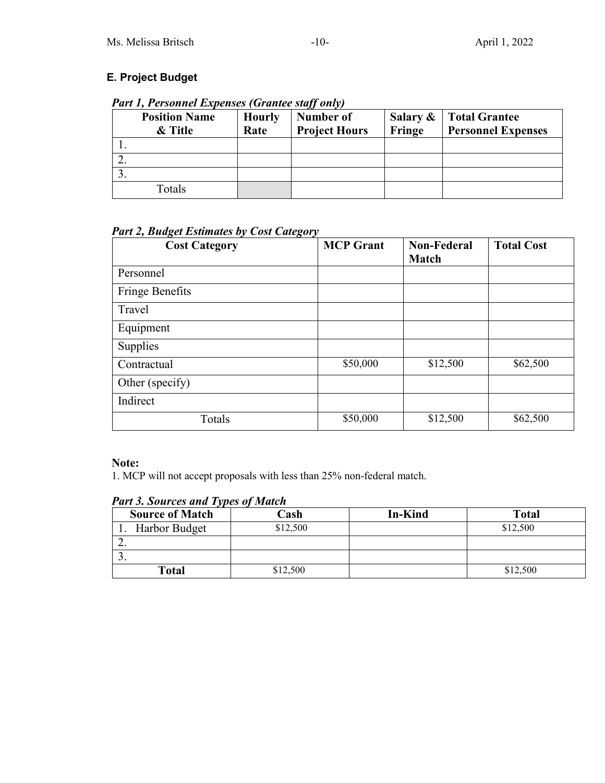# **E. Project Budget**

*Part 1, Personnel Expenses (Grantee staff only)*

| <b>Position Name</b><br>& Title | <b>Hourly</b><br>Rate | Number of<br><b>Project Hours</b> | Salary &<br>Fringe | Total Grantee<br><b>Personnel Expenses</b> |
|---------------------------------|-----------------------|-----------------------------------|--------------------|--------------------------------------------|
|                                 |                       |                                   |                    |                                            |
|                                 |                       |                                   |                    |                                            |
|                                 |                       |                                   |                    |                                            |
| Totals                          |                       |                                   |                    |                                            |

*Part 2, Budget Estimates by Cost Category*

| <b>Cost Category</b> | <b>MCP</b> Grant | <b>Non-Federal</b><br><b>Match</b> | <b>Total Cost</b> |
|----------------------|------------------|------------------------------------|-------------------|
| Personnel            |                  |                                    |                   |
| Fringe Benefits      |                  |                                    |                   |
| Travel               |                  |                                    |                   |
| Equipment            |                  |                                    |                   |
| Supplies             |                  |                                    |                   |
| Contractual          | \$50,000         | \$12,500                           | \$62,500          |
| Other (specify)      |                  |                                    |                   |
| Indirect             |                  |                                    |                   |
| Totals               | \$50,000         | \$12,500                           | \$62,500          |

# **Note:**

1. MCP will not accept proposals with less than 25% non-federal match.

| . .                    |          |                |              |
|------------------------|----------|----------------|--------------|
| <b>Source of Match</b> | Cash     | <b>In-Kind</b> | <b>Total</b> |
| Harbor Budget          | \$12,500 |                | \$12,500     |
| ـ ـ                    |          |                |              |
| J .                    |          |                |              |
| Total                  | \$12,500 |                | \$12,500     |